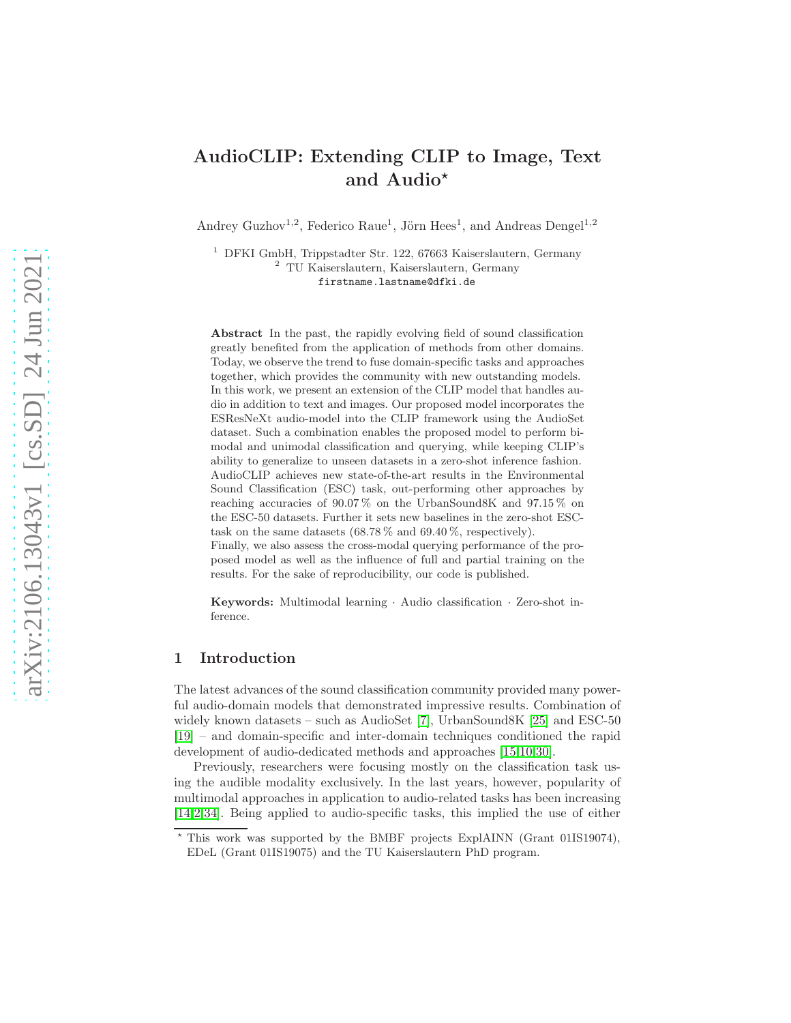# AudioCLIP: Extending CLIP to Image, Text and Audio<sup>\*</sup>

Andrey Guzhov<sup>1,2</sup>, Federico Raue<sup>1</sup>, Jörn Hees<sup>1</sup>, and Andreas Dengel<sup>1,2</sup>

<sup>1</sup> DFKI GmbH, Trippstadter Str. 122, 67663 Kaiserslautern, Germany <sup>2</sup> TU Kaiserslautern, Kaiserslautern, Germany firstname.lastname@dfki.de

Abstract In the past, the rapidly evolving field of sound classification greatly benefited from the application of methods from other domains. Today, we observe the trend to fuse domain-specific tasks and approaches together, which provides the community with new outstanding models. In this work, we present an extension of the CLIP model that handles audio in addition to text and images. Our proposed model incorporates the ESResNeXt audio-model into the CLIP framework using the AudioSet dataset. Such a combination enables the proposed model to perform bimodal and unimodal classification and querying, while keeping CLIP's ability to generalize to unseen datasets in a zero-shot inference fashion. AudioCLIP achieves new state-of-the-art results in the Environmental Sound Classification (ESC) task, out-performing other approaches by reaching accuracies of 90.07 % on the UrbanSound8K and 97.15 % on the ESC-50 datasets. Further it sets new baselines in the zero-shot ESCtask on the same datasets  $(68.78\% \text{ and } 69.40\%, \text{ respectively}).$ Finally, we also assess the cross-modal querying performance of the proposed model as well as the influence of full and partial training on the results. For the sake of reproducibility, our code is published.

Keywords: Multimodal learning · Audio classification · Zero-shot inference.

# 1 Introduction

The latest advances of the sound classification community provided many powerful audio-domain models that demonstrated impressive results. Combination of widely known datasets – such as AudioSet [\[7\]](#page-12-0), UrbanSound8K [\[25\]](#page-13-0) and ESC-50 [\[19\]](#page-13-1) – and domain-specific and inter-domain techniques conditioned the rapid development of audio-dedicated methods and approaches [\[15](#page-12-1)[,10](#page-12-2)[,30\]](#page-13-2).

Previously, researchers were focusing mostly on the classification task using the audible modality exclusively. In the last years, however, popularity of multimodal approaches in application to audio-related tasks has been increasing [\[14](#page-12-3)[,2](#page-12-4)[,34\]](#page-13-3). Being applied to audio-specific tasks, this implied the use of either

<sup>⋆</sup> This work was supported by the BMBF projects ExplAINN (Grant 01IS19074), EDeL (Grant 01IS19075) and the TU Kaiserslautern PhD program.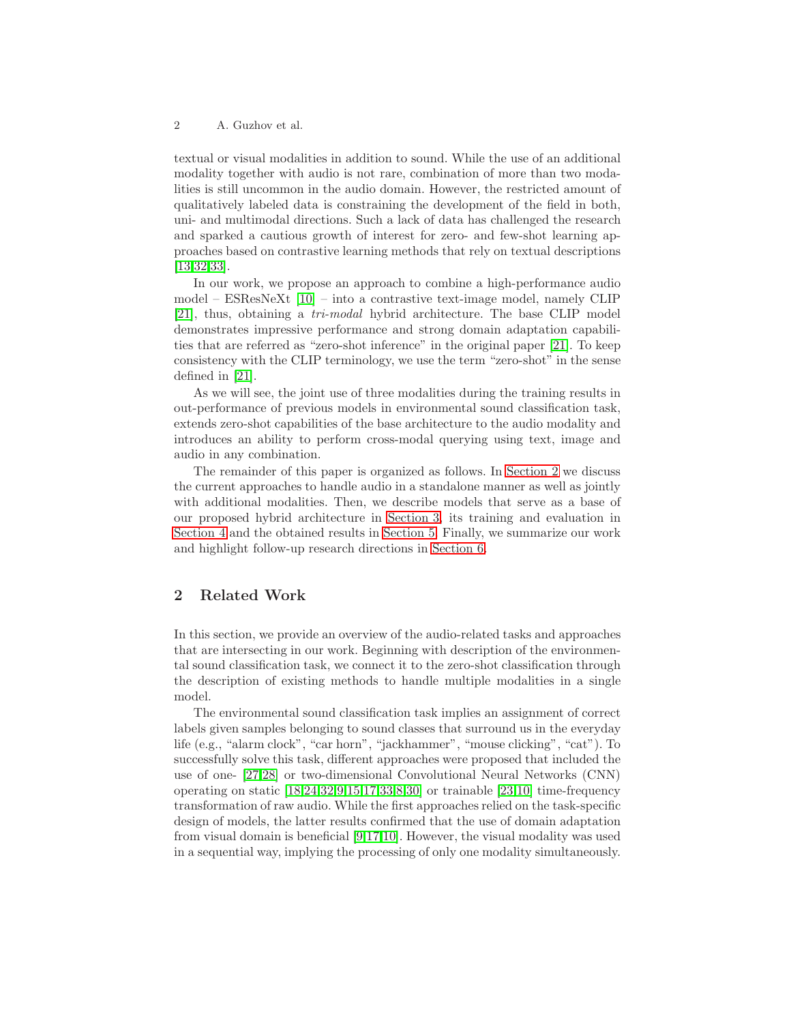textual or visual modalities in addition to sound. While the use of an additional modality together with audio is not rare, combination of more than two modalities is still uncommon in the audio domain. However, the restricted amount of qualitatively labeled data is constraining the development of the field in both, uni- and multimodal directions. Such a lack of data has challenged the research and sparked a cautious growth of interest for zero- and few-shot learning approaches based on contrastive learning methods that rely on textual descriptions [\[13](#page-12-5)[,32](#page-13-4)[,33\]](#page-13-5).

In our work, we propose an approach to combine a high-performance audio model – ESResNeXt [\[10\]](#page-12-2) – into a contrastive text-image model, namely CLIP [\[21\]](#page-13-6), thus, obtaining a tri-modal hybrid architecture. The base CLIP model demonstrates impressive performance and strong domain adaptation capabilities that are referred as "zero-shot inference" in the original paper [\[21\]](#page-13-6). To keep consistency with the CLIP terminology, we use the term "zero-shot" in the sense defined in [\[21\]](#page-13-6).

As we will see, the joint use of three modalities during the training results in out-performance of previous models in environmental sound classification task, extends zero-shot capabilities of the base architecture to the audio modality and introduces an ability to perform cross-modal querying using text, image and audio in any combination.

The remainder of this paper is organized as follows. In [Section 2](#page-1-0) we discuss the current approaches to handle audio in a standalone manner as well as jointly with additional modalities. Then, we describe models that serve as a base of our proposed hybrid architecture in [Section 3,](#page-2-0) its training and evaluation in [Section 4](#page-4-0) and the obtained results in [Section 5.](#page-9-0) Finally, we summarize our work and highlight follow-up research directions in [Section 6.](#page-11-0)

# <span id="page-1-0"></span>2 Related Work

In this section, we provide an overview of the audio-related tasks and approaches that are intersecting in our work. Beginning with description of the environmental sound classification task, we connect it to the zero-shot classification through the description of existing methods to handle multiple modalities in a single model.

The environmental sound classification task implies an assignment of correct labels given samples belonging to sound classes that surround us in the everyday life (e.g., "alarm clock", "car horn", "jackhammer", "mouse clicking", "cat"). To successfully solve this task, different approaches were proposed that included the use of one- [\[27](#page-13-7)[,28\]](#page-13-8) or two-dimensional Convolutional Neural Networks (CNN) operating on static  $[18,24,32,9,15,17,33,8,30]$  $[18,24,32,9,15,17,33,8,30]$  $[18,24,32,9,15,17,33,8,30]$  $[18,24,32,9,15,17,33,8,30]$  $[18,24,32,9,15,17,33,8,30]$  $[18,24,32,9,15,17,33,8,30]$  $[18,24,32,9,15,17,33,8,30]$  $[18,24,32,9,15,17,33,8,30]$  $[18,24,32,9,15,17,33,8,30]$  or trainable  $[23,10]$  $[23,10]$  time-frequency transformation of raw audio. While the first approaches relied on the task-specific design of models, the latter results confirmed that the use of domain adaptation from visual domain is beneficial [\[9,](#page-12-6)[17,](#page-13-11)[10\]](#page-12-2). However, the visual modality was used in a sequential way, implying the processing of only one modality simultaneously.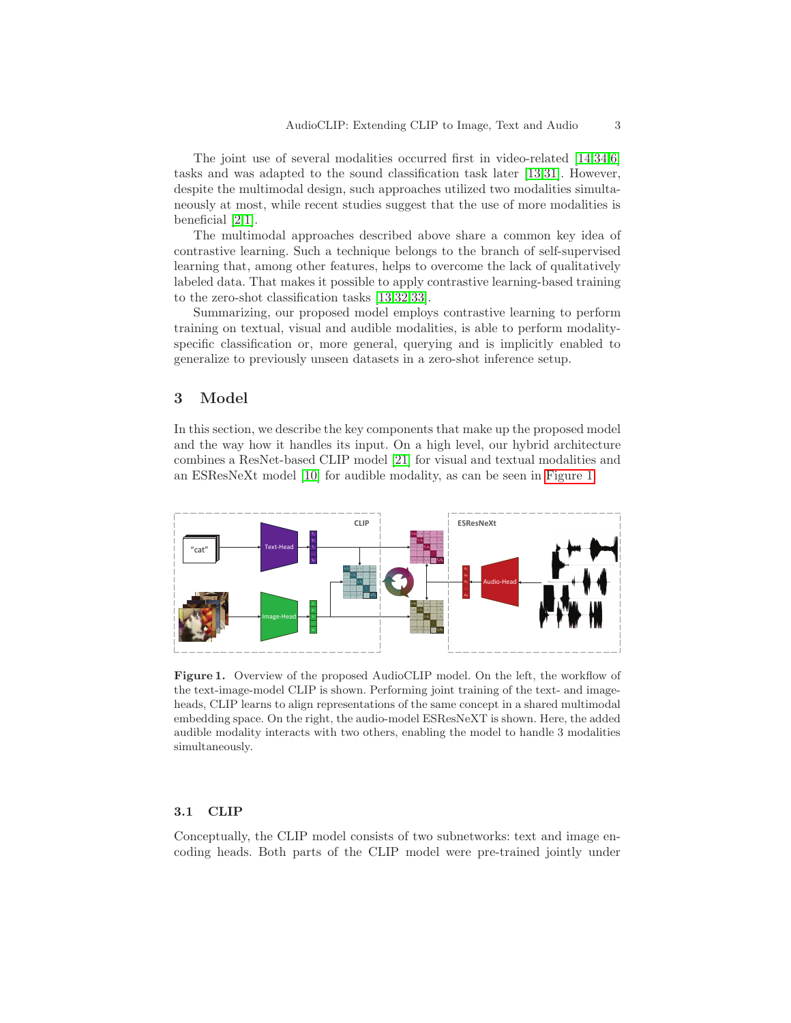The joint use of several modalities occurred first in video-related [\[14](#page-12-3)[,34,](#page-13-3)[6\]](#page-12-8) tasks and was adapted to the sound classification task later [\[13,](#page-12-5)[31\]](#page-13-13). However, despite the multimodal design, such approaches utilized two modalities simultaneously at most, while recent studies suggest that the use of more modalities is beneficial [\[2](#page-12-4)[,1\]](#page-12-9).

The multimodal approaches described above share a common key idea of contrastive learning. Such a technique belongs to the branch of self-supervised learning that, among other features, helps to overcome the lack of qualitatively labeled data. That makes it possible to apply contrastive learning-based training to the zero-shot classification tasks [\[13,](#page-12-5)[32,](#page-13-4)[33\]](#page-13-5).

Summarizing, our proposed model employs contrastive learning to perform training on textual, visual and audible modalities, is able to perform modalityspecific classification or, more general, querying and is implicitly enabled to generalize to previously unseen datasets in a zero-shot inference setup.

# <span id="page-2-0"></span>3 Model

In this section, we describe the key components that make up the proposed model and the way how it handles its input. On a high level, our hybrid architecture combines a ResNet-based CLIP model [\[21\]](#page-13-6) for visual and textual modalities and an ESResNeXt model [\[10\]](#page-12-2) for audible modality, as can be seen in [Figure](#page-2-1) 1.



<span id="page-2-1"></span>Figure 1. Overview of the proposed AudioCLIP model. On the left, the workflow of the text-image-model CLIP is shown. Performing joint training of the text- and imageheads, CLIP learns to align representations of the same concept in a shared multimodal embedding space. On the right, the audio-model ESResNeXT is shown. Here, the added audible modality interacts with two others, enabling the model to handle 3 modalities simultaneously.

### <span id="page-2-2"></span>3.1 CLIP

Conceptually, the CLIP model consists of two subnetworks: text and image encoding heads. Both parts of the CLIP model were pre-trained jointly under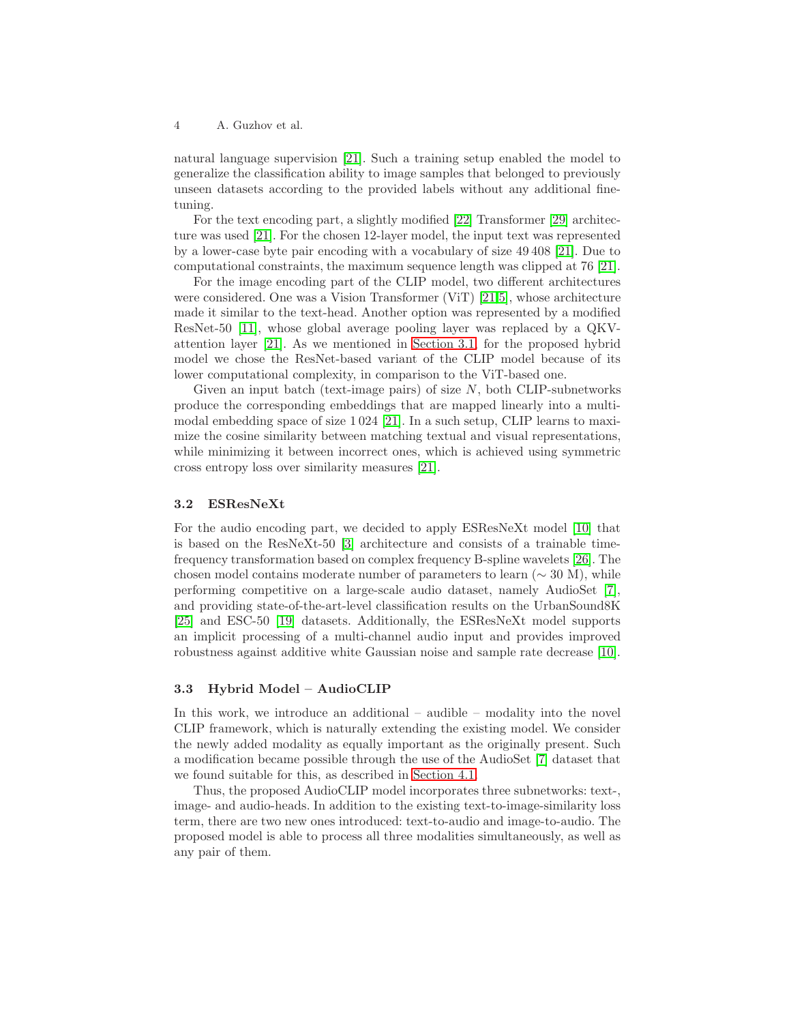natural language supervision [\[21\]](#page-13-6). Such a training setup enabled the model to generalize the classification ability to image samples that belonged to previously unseen datasets according to the provided labels without any additional finetuning.

For the text encoding part, a slightly modified [\[22\]](#page-13-14) Transformer [\[29\]](#page-13-15) architecture was used [\[21\]](#page-13-6). For the chosen 12-layer model, the input text was represented by a lower-case byte pair encoding with a vocabulary of size 49 408 [\[21\]](#page-13-6). Due to computational constraints, the maximum sequence length was clipped at 76 [\[21\]](#page-13-6).

For the image encoding part of the CLIP model, two different architectures were considered. One was a Vision Transformer (ViT) [\[21,](#page-13-6)[5\]](#page-12-10), whose architecture made it similar to the text-head. Another option was represented by a modified ResNet-50 [\[11\]](#page-12-11), whose global average pooling layer was replaced by a QKVattention layer [\[21\]](#page-13-6). As we mentioned in [Section 3.1,](#page-2-2) for the proposed hybrid model we chose the ResNet-based variant of the CLIP model because of its lower computational complexity, in comparison to the ViT-based one.

Given an input batch (text-image pairs) of size  $N$ , both CLIP-subnetworks produce the corresponding embeddings that are mapped linearly into a multimodal embedding space of size 1 024 [\[21\]](#page-13-6). In a such setup, CLIP learns to maximize the cosine similarity between matching textual and visual representations, while minimizing it between incorrect ones, which is achieved using symmetric cross entropy loss over similarity measures [\[21\]](#page-13-6).

### 3.2 ESResNeXt

For the audio encoding part, we decided to apply ESResNeXt model [\[10\]](#page-12-2) that is based on the ResNeXt-50 [\[3\]](#page-12-12) architecture and consists of a trainable timefrequency transformation based on complex frequency B-spline wavelets [\[26\]](#page-13-16). The chosen model contains moderate number of parameters to learn ( $\sim 30$  M), while performing competitive on a large-scale audio dataset, namely AudioSet [\[7\]](#page-12-0), and providing state-of-the-art-level classification results on the UrbanSound8K [\[25\]](#page-13-0) and ESC-50 [\[19\]](#page-13-1) datasets. Additionally, the ESResNeXt model supports an implicit processing of a multi-channel audio input and provides improved robustness against additive white Gaussian noise and sample rate decrease [\[10\]](#page-12-2).

### 3.3 Hybrid Model – AudioCLIP

In this work, we introduce an additional – audible – modality into the novel CLIP framework, which is naturally extending the existing model. We consider the newly added modality as equally important as the originally present. Such a modification became possible through the use of the AudioSet [\[7\]](#page-12-0) dataset that we found suitable for this, as described in [Section 4.1.](#page-4-1)

Thus, the proposed AudioCLIP model incorporates three subnetworks: text-, image- and audio-heads. In addition to the existing text-to-image-similarity loss term, there are two new ones introduced: text-to-audio and image-to-audio. The proposed model is able to process all three modalities simultaneously, as well as any pair of them.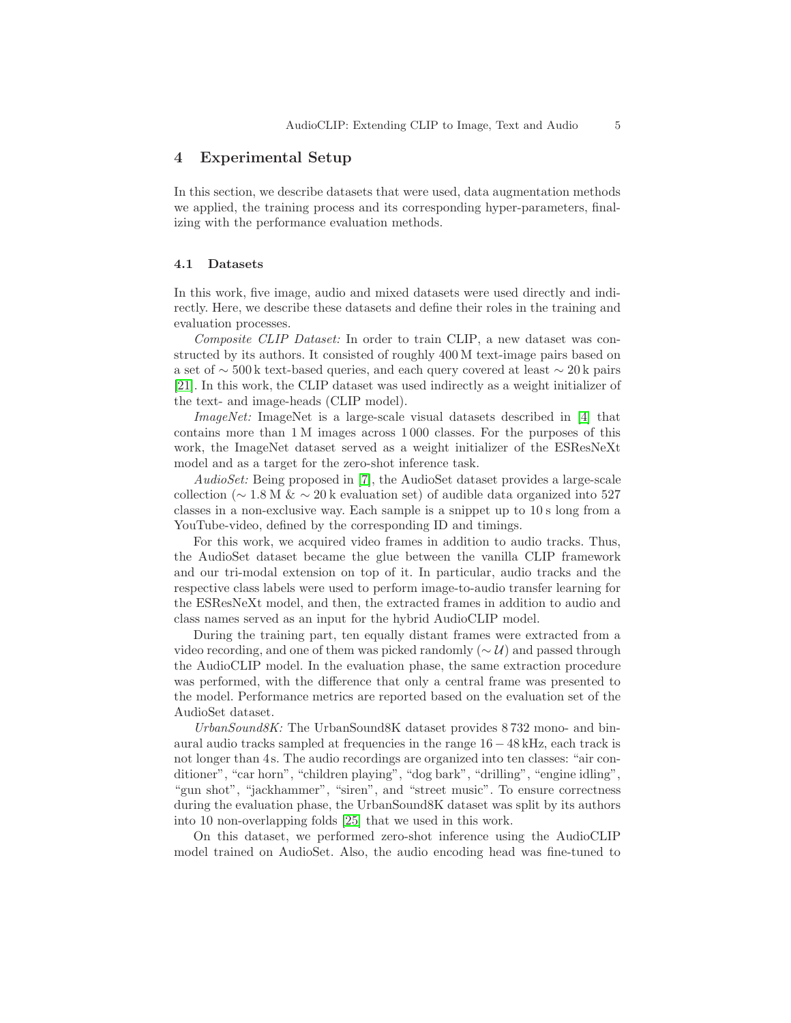## <span id="page-4-0"></span>4 Experimental Setup

In this section, we describe datasets that were used, data augmentation methods we applied, the training process and its corresponding hyper-parameters, finalizing with the performance evaluation methods.

### <span id="page-4-1"></span>4.1 Datasets

In this work, five image, audio and mixed datasets were used directly and indirectly. Here, we describe these datasets and define their roles in the training and evaluation processes.

Composite CLIP Dataset: In order to train CLIP, a new dataset was constructed by its authors. It consisted of roughly 400 M text-image pairs based on a set of ∼ 500 k text-based queries, and each query covered at least ∼ 20 k pairs [\[21\]](#page-13-6). In this work, the CLIP dataset was used indirectly as a weight initializer of the text- and image-heads (CLIP model).

ImageNet: ImageNet is a large-scale visual datasets described in [\[4\]](#page-12-13) that contains more than 1 M images across 1 000 classes. For the purposes of this work, the ImageNet dataset served as a weight initializer of the ESResNeXt model and as a target for the zero-shot inference task.

AudioSet: Being proposed in [\[7\]](#page-12-0), the AudioSet dataset provides a large-scale collection ( $\sim$  1.8 M &  $\sim$  20 k evaluation set) of audible data organized into 527 classes in a non-exclusive way. Each sample is a snippet up to 10 s long from a YouTube-video, defined by the corresponding ID and timings.

For this work, we acquired video frames in addition to audio tracks. Thus, the AudioSet dataset became the glue between the vanilla CLIP framework and our tri-modal extension on top of it. In particular, audio tracks and the respective class labels were used to perform image-to-audio transfer learning for the ESResNeXt model, and then, the extracted frames in addition to audio and class names served as an input for the hybrid AudioCLIP model.

During the training part, ten equally distant frames were extracted from a video recording, and one of them was picked randomly ( $\sim \mathcal{U}$ ) and passed through the AudioCLIP model. In the evaluation phase, the same extraction procedure was performed, with the difference that only a central frame was presented to the model. Performance metrics are reported based on the evaluation set of the AudioSet dataset.

UrbanSound8K: The UrbanSound8K dataset provides 8 732 mono- and binaural audio tracks sampled at frequencies in the range 16 − 48 kHz, each track is not longer than 4s. The audio recordings are organized into ten classes: "air conditioner", "car horn", "children playing", "dog bark", "drilling", "engine idling", "gun shot", "jackhammer", "siren", and "street music". To ensure correctness during the evaluation phase, the UrbanSound8K dataset was split by its authors into 10 non-overlapping folds [\[25\]](#page-13-0) that we used in this work.

On this dataset, we performed zero-shot inference using the AudioCLIP model trained on AudioSet. Also, the audio encoding head was fine-tuned to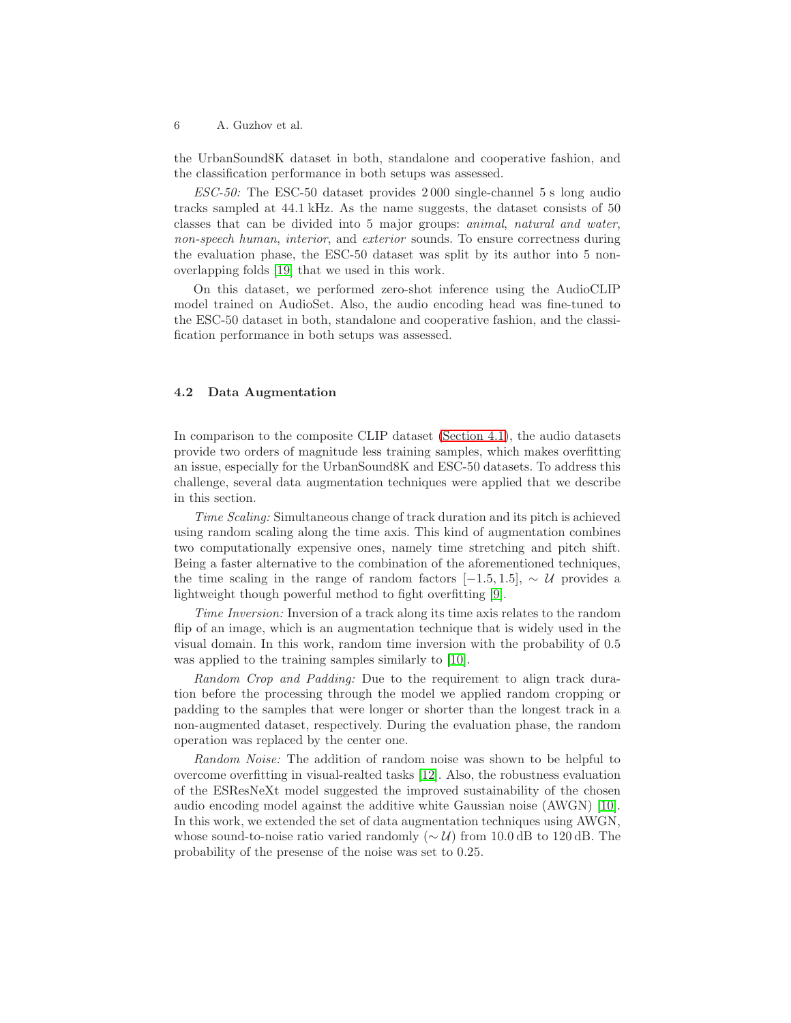the UrbanSound8K dataset in both, standalone and cooperative fashion, and the classification performance in both setups was assessed.

ESC-50: The ESC-50 dataset provides 2 000 single-channel 5 s long audio tracks sampled at 44.1 kHz. As the name suggests, the dataset consists of 50 classes that can be divided into 5 major groups: animal, natural and water, non-speech human, interior, and exterior sounds. To ensure correctness during the evaluation phase, the ESC-50 dataset was split by its author into 5 nonoverlapping folds [\[19\]](#page-13-1) that we used in this work.

On this dataset, we performed zero-shot inference using the AudioCLIP model trained on AudioSet. Also, the audio encoding head was fine-tuned to the ESC-50 dataset in both, standalone and cooperative fashion, and the classification performance in both setups was assessed.

### 4.2 Data Augmentation

In comparison to the composite CLIP dataset [\(Section 4.1\)](#page-4-1), the audio datasets provide two orders of magnitude less training samples, which makes overfitting an issue, especially for the UrbanSound8K and ESC-50 datasets. To address this challenge, several data augmentation techniques were applied that we describe in this section.

Time Scaling: Simultaneous change of track duration and its pitch is achieved using random scaling along the time axis. This kind of augmentation combines two computationally expensive ones, namely time stretching and pitch shift. Being a faster alternative to the combination of the aforementioned techniques, the time scaling in the range of random factors  $[-1.5, 1.5]$ , ~ U provides a lightweight though powerful method to fight overfitting [\[9\]](#page-12-6).

Time Inversion: Inversion of a track along its time axis relates to the random flip of an image, which is an augmentation technique that is widely used in the visual domain. In this work, random time inversion with the probability of 0.5 was applied to the training samples similarly to [\[10\]](#page-12-2).

Random Crop and Padding: Due to the requirement to align track duration before the processing through the model we applied random cropping or padding to the samples that were longer or shorter than the longest track in a non-augmented dataset, respectively. During the evaluation phase, the random operation was replaced by the center one.

Random Noise: The addition of random noise was shown to be helpful to overcome overfitting in visual-realted tasks [\[12\]](#page-12-14). Also, the robustness evaluation of the ESResNeXt model suggested the improved sustainability of the chosen audio encoding model against the additive white Gaussian noise (AWGN) [\[10\]](#page-12-2). In this work, we extended the set of data augmentation techniques using AWGN, whose sound-to-noise ratio varied randomly ( $\sim \mathcal{U}$ ) from 10.0 dB to 120 dB. The probability of the presense of the noise was set to 0.25.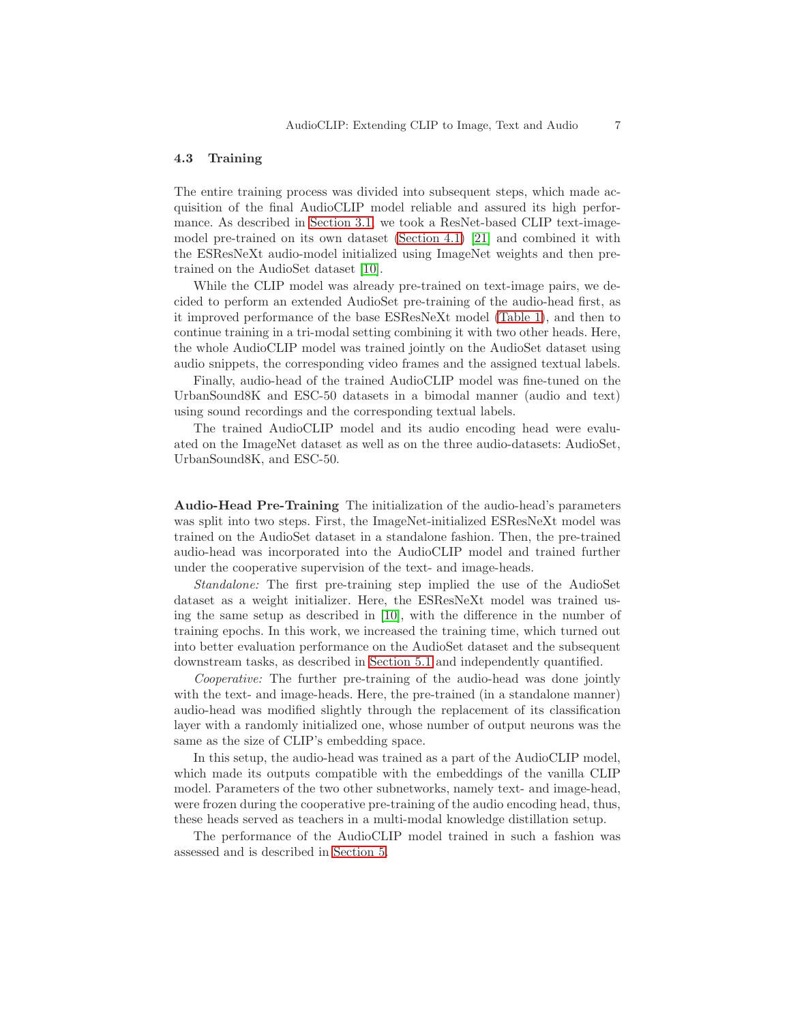#### 4.3 Training

The entire training process was divided into subsequent steps, which made acquisition of the final AudioCLIP model reliable and assured its high performance. As described in [Section 3.1,](#page-2-2) we took a ResNet-based CLIP text-imagemodel pre-trained on its own dataset [\(Section 4.1\)](#page-4-1) [\[21\]](#page-13-6) and combined it with the ESResNeXt audio-model initialized using ImageNet weights and then pretrained on the AudioSet dataset [\[10\]](#page-12-2).

While the CLIP model was already pre-trained on text-image pairs, we decided to perform an extended AudioSet pre-training of the audio-head first, as it improved performance of the base ESResNeXt model [\(Table 1\)](#page-8-0), and then to continue training in a tri-modal setting combining it with two other heads. Here, the whole AudioCLIP model was trained jointly on the AudioSet dataset using audio snippets, the corresponding video frames and the assigned textual labels.

Finally, audio-head of the trained AudioCLIP model was fine-tuned on the UrbanSound8K and ESC-50 datasets in a bimodal manner (audio and text) using sound recordings and the corresponding textual labels.

The trained AudioCLIP model and its audio encoding head were evaluated on the ImageNet dataset as well as on the three audio-datasets: AudioSet, UrbanSound8K, and ESC-50.

Audio-Head Pre-Training The initialization of the audio-head's parameters was split into two steps. First, the ImageNet-initialized ESResNeXt model was trained on the AudioSet dataset in a standalone fashion. Then, the pre-trained audio-head was incorporated into the AudioCLIP model and trained further under the cooperative supervision of the text- and image-heads.

Standalone: The first pre-training step implied the use of the AudioSet dataset as a weight initializer. Here, the ESResNeXt model was trained using the same setup as described in [\[10\]](#page-12-2), with the difference in the number of training epochs. In this work, we increased the training time, which turned out into better evaluation performance on the AudioSet dataset and the subsequent downstream tasks, as described in [Section 5.1](#page-9-1) and independently quantified.

Cooperative: The further pre-training of the audio-head was done jointly with the text- and image-heads. Here, the pre-trained (in a standalone manner) audio-head was modified slightly through the replacement of its classification layer with a randomly initialized one, whose number of output neurons was the same as the size of CLIP's embedding space.

In this setup, the audio-head was trained as a part of the AudioCLIP model, which made its outputs compatible with the embeddings of the vanilla CLIP model. Parameters of the two other subnetworks, namely text- and image-head, were frozen during the cooperative pre-training of the audio encoding head, thus, these heads served as teachers in a multi-modal knowledge distillation setup.

The performance of the AudioCLIP model trained in such a fashion was assessed and is described in [Section 5.](#page-9-0)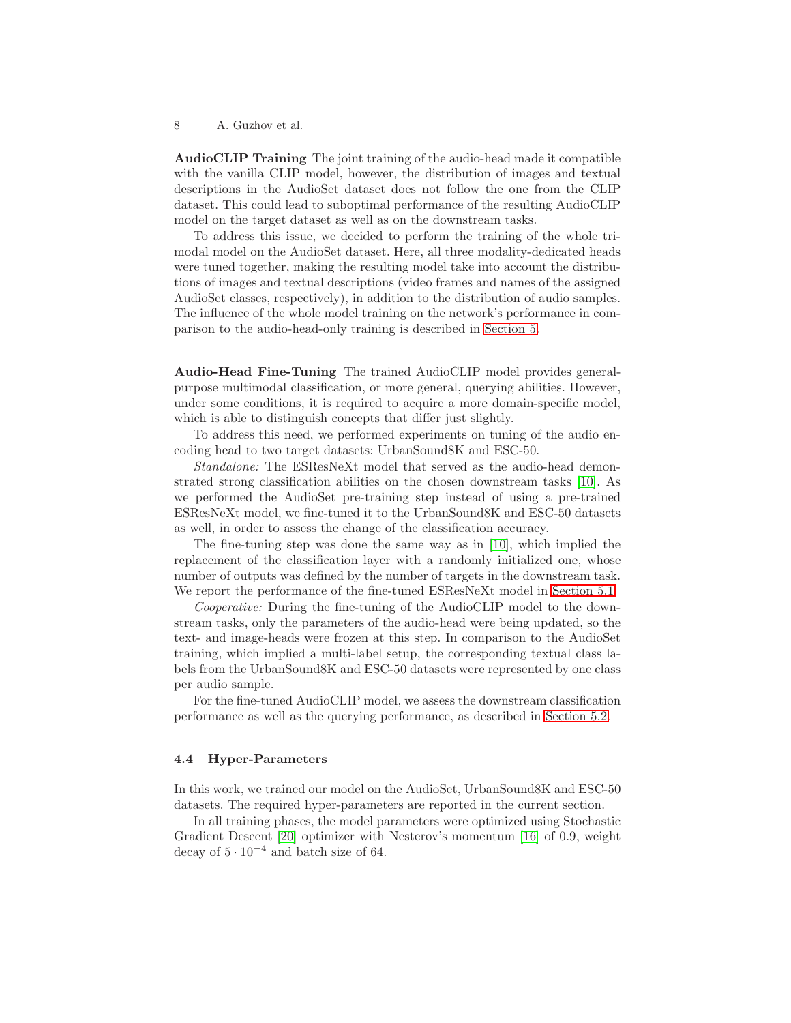AudioCLIP Training The joint training of the audio-head made it compatible with the vanilla CLIP model, however, the distribution of images and textual descriptions in the AudioSet dataset does not follow the one from the CLIP dataset. This could lead to suboptimal performance of the resulting AudioCLIP model on the target dataset as well as on the downstream tasks.

To address this issue, we decided to perform the training of the whole trimodal model on the AudioSet dataset. Here, all three modality-dedicated heads were tuned together, making the resulting model take into account the distributions of images and textual descriptions (video frames and names of the assigned AudioSet classes, respectively), in addition to the distribution of audio samples. The influence of the whole model training on the network's performance in comparison to the audio-head-only training is described in [Section 5.](#page-9-0)

Audio-Head Fine-Tuning The trained AudioCLIP model provides generalpurpose multimodal classification, or more general, querying abilities. However, under some conditions, it is required to acquire a more domain-specific model, which is able to distinguish concepts that differ just slightly.

To address this need, we performed experiments on tuning of the audio encoding head to two target datasets: UrbanSound8K and ESC-50.

Standalone: The ESResNeXt model that served as the audio-head demonstrated strong classification abilities on the chosen downstream tasks [\[10\]](#page-12-2). As we performed the AudioSet pre-training step instead of using a pre-trained ESResNeXt model, we fine-tuned it to the UrbanSound8K and ESC-50 datasets as well, in order to assess the change of the classification accuracy.

The fine-tuning step was done the same way as in [\[10\]](#page-12-2), which implied the replacement of the classification layer with a randomly initialized one, whose number of outputs was defined by the number of targets in the downstream task. We report the performance of the fine-tuned ESResNeXt model in [Section 5.1.](#page-9-2)

Cooperative: During the fine-tuning of the AudioCLIP model to the downstream tasks, only the parameters of the audio-head were being updated, so the text- and image-heads were frozen at this step. In comparison to the AudioSet training, which implied a multi-label setup, the corresponding textual class labels from the UrbanSound8K and ESC-50 datasets were represented by one class per audio sample.

For the fine-tuned AudioCLIP model, we assess the downstream classification performance as well as the querying performance, as described in [Section 5.2.](#page-10-0)

### 4.4 Hyper-Parameters

In this work, we trained our model on the AudioSet, UrbanSound8K and ESC-50 datasets. The required hyper-parameters are reported in the current section.

In all training phases, the model parameters were optimized using Stochastic Gradient Descent [\[20\]](#page-13-17) optimizer with Nesterov's momentum [\[16\]](#page-12-15) of 0.9, weight decay of  $5 \cdot 10^{-4}$  and batch size of 64.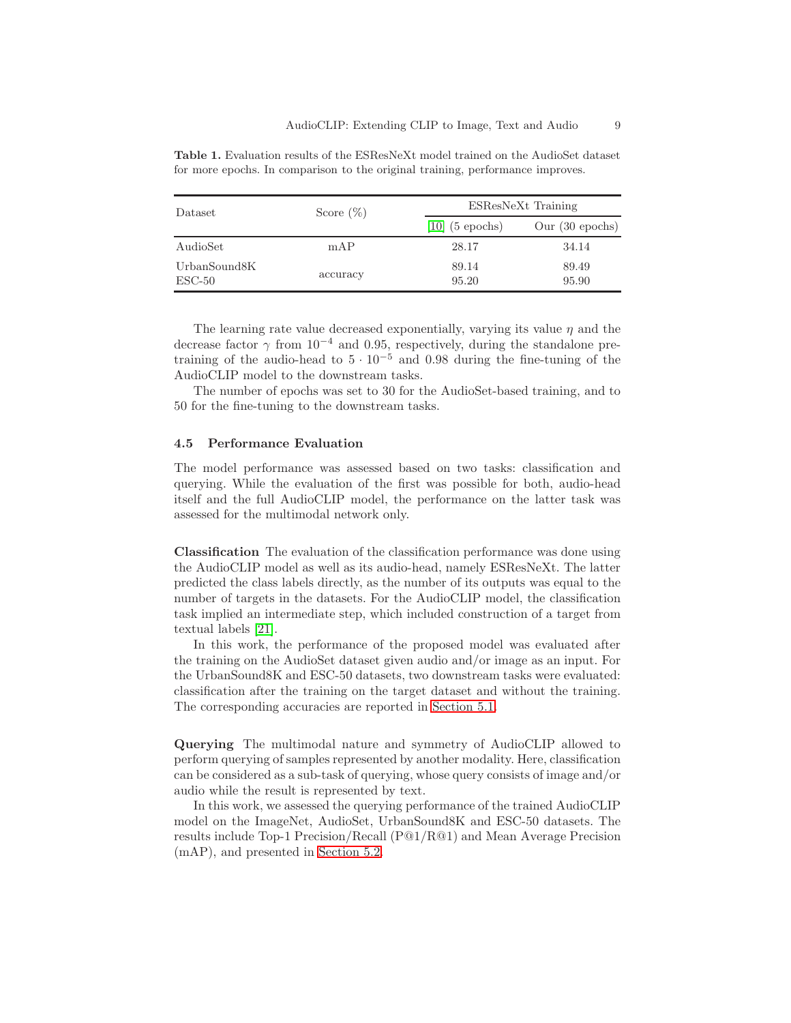| Dataset                                      | Score $(\%)$ |                   | ESResNeXt Training        |  |  |  |  |
|----------------------------------------------|--------------|-------------------|---------------------------|--|--|--|--|
|                                              |              | $[10]$ (5 epochs) | Our $(30 \text{ epochs})$ |  |  |  |  |
| AudioSet                                     | mAP          | 28.17             | 34.14                     |  |  |  |  |
| UrbanSound <sub>8</sub> K<br>$\text{ESC-50}$ | accuracy     | 89.14<br>95.20    | 89.49<br>95.90            |  |  |  |  |

<span id="page-8-0"></span>Table 1. Evaluation results of the ESResNeXt model trained on the AudioSet dataset for more epochs. In comparison to the original training, performance improves.

The learning rate value decreased exponentially, varying its value  $\eta$  and the decrease factor  $\gamma$  from 10<sup>-4</sup> and 0.95, respectively, during the standalone pretraining of the audio-head to  $5 \cdot 10^{-5}$  and 0.98 during the fine-tuning of the AudioCLIP model to the downstream tasks.

The number of epochs was set to 30 for the AudioSet-based training, and to 50 for the fine-tuning to the downstream tasks.

#### 4.5 Performance Evaluation

The model performance was assessed based on two tasks: classification and querying. While the evaluation of the first was possible for both, audio-head itself and the full AudioCLIP model, the performance on the latter task was assessed for the multimodal network only.

Classification The evaluation of the classification performance was done using the AudioCLIP model as well as its audio-head, namely ESResNeXt. The latter predicted the class labels directly, as the number of its outputs was equal to the number of targets in the datasets. For the AudioCLIP model, the classification task implied an intermediate step, which included construction of a target from textual labels [\[21\]](#page-13-6).

In this work, the performance of the proposed model was evaluated after the training on the AudioSet dataset given audio and/or image as an input. For the UrbanSound8K and ESC-50 datasets, two downstream tasks were evaluated: classification after the training on the target dataset and without the training. The corresponding accuracies are reported in [Section 5.1.](#page-9-1)

Querying The multimodal nature and symmetry of AudioCLIP allowed to perform querying of samples represented by another modality. Here, classification can be considered as a sub-task of querying, whose query consists of image and/or audio while the result is represented by text.

In this work, we assessed the querying performance of the trained AudioCLIP model on the ImageNet, AudioSet, UrbanSound8K and ESC-50 datasets. The results include Top-1 Precision/Recall (P@1/R@1) and Mean Average Precision (mAP), and presented in [Section 5.2.](#page-10-0)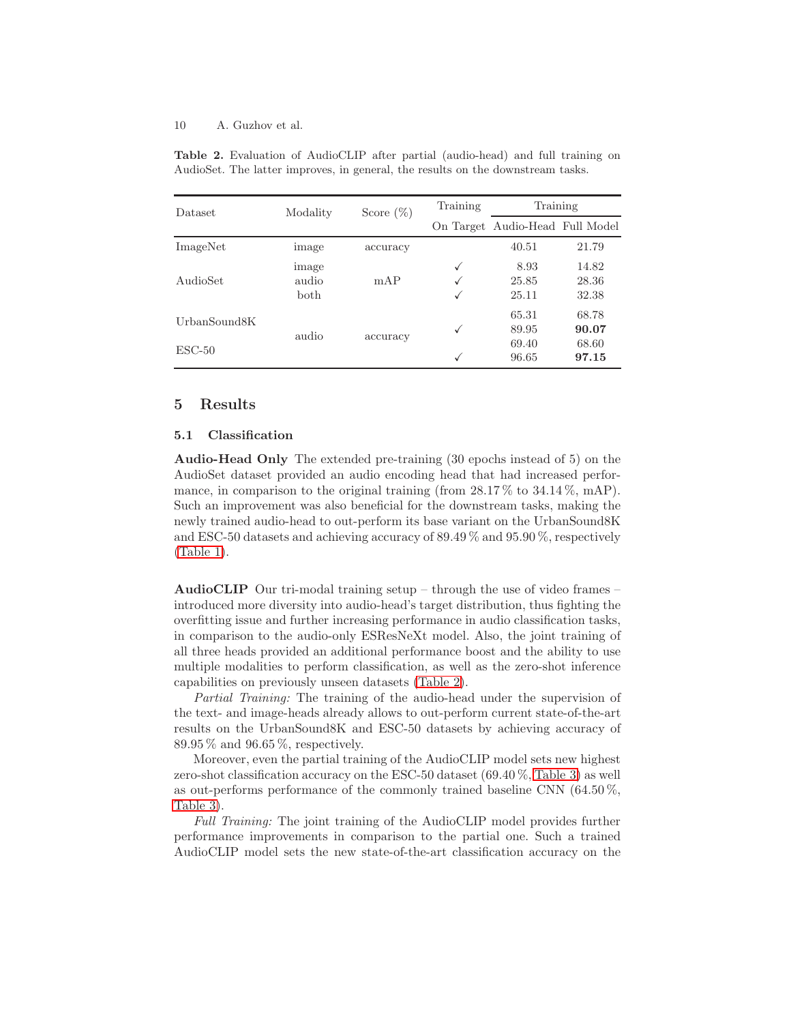| Dataset      | Modality | Score $(\%)$ | Training             | Training                        |       |
|--------------|----------|--------------|----------------------|---------------------------------|-------|
|              |          |              |                      | On Target Audio-Head Full Model |       |
| ImageNet     | image    | accuracy     |                      | 40.51                           | 21.79 |
|              | image    |              | 8.93<br>$\checkmark$ |                                 | 14.82 |
| AudioSet     | audio    | mAP          |                      | 25.85                           | 28.36 |
|              | both     |              | ✓                    | 25.11                           | 32.38 |
| UrbanSound8K | audio    |              |                      | 65.31                           | 68.78 |
|              |          | accuracy     |                      | 89.95                           | 90.07 |
| $ESC-50$     |          |              |                      | 69.40                           | 68.60 |
|              |          |              |                      | 96.65                           | 97.15 |

<span id="page-9-3"></span>Table 2. Evaluation of AudioCLIP after partial (audio-head) and full training on AudioSet. The latter improves, in general, the results on the downstream tasks.

# <span id="page-9-1"></span><span id="page-9-0"></span>5 Results

### 5.1 Classification

<span id="page-9-2"></span>Audio-Head Only The extended pre-training (30 epochs instead of 5) on the AudioSet dataset provided an audio encoding head that had increased performance, in comparison to the original training (from  $28.17\%$  to  $34.14\%$ , mAP). Such an improvement was also beneficial for the downstream tasks, making the newly trained audio-head to out-perform its base variant on the UrbanSound8K and ESC-50 datasets and achieving accuracy of 89.49 % and 95.90 %, respectively [\(Table 1\)](#page-8-0).

AudioCLIP Our tri-modal training setup – through the use of video frames – introduced more diversity into audio-head's target distribution, thus fighting the overfitting issue and further increasing performance in audio classification tasks, in comparison to the audio-only ESResNeXt model. Also, the joint training of all three heads provided an additional performance boost and the ability to use multiple modalities to perform classification, as well as the zero-shot inference capabilities on previously unseen datasets [\(Table 2\)](#page-9-3).

Partial Training: The training of the audio-head under the supervision of the text- and image-heads already allows to out-perform current state-of-the-art results on the UrbanSound8K and ESC-50 datasets by achieving accuracy of 89.95 % and 96.65 %, respectively.

Moreover, even the partial training of the AudioCLIP model sets new highest zero-shot classification accuracy on the ESC-50 dataset (69.40 %, [Table 3\)](#page-10-1) as well as out-performs performance of the commonly trained baseline CNN (64.50 %, [Table 3\)](#page-10-1).

Full Training: The joint training of the AudioCLIP model provides further performance improvements in comparison to the partial one. Such a trained AudioCLIP model sets the new state-of-the-art classification accuracy on the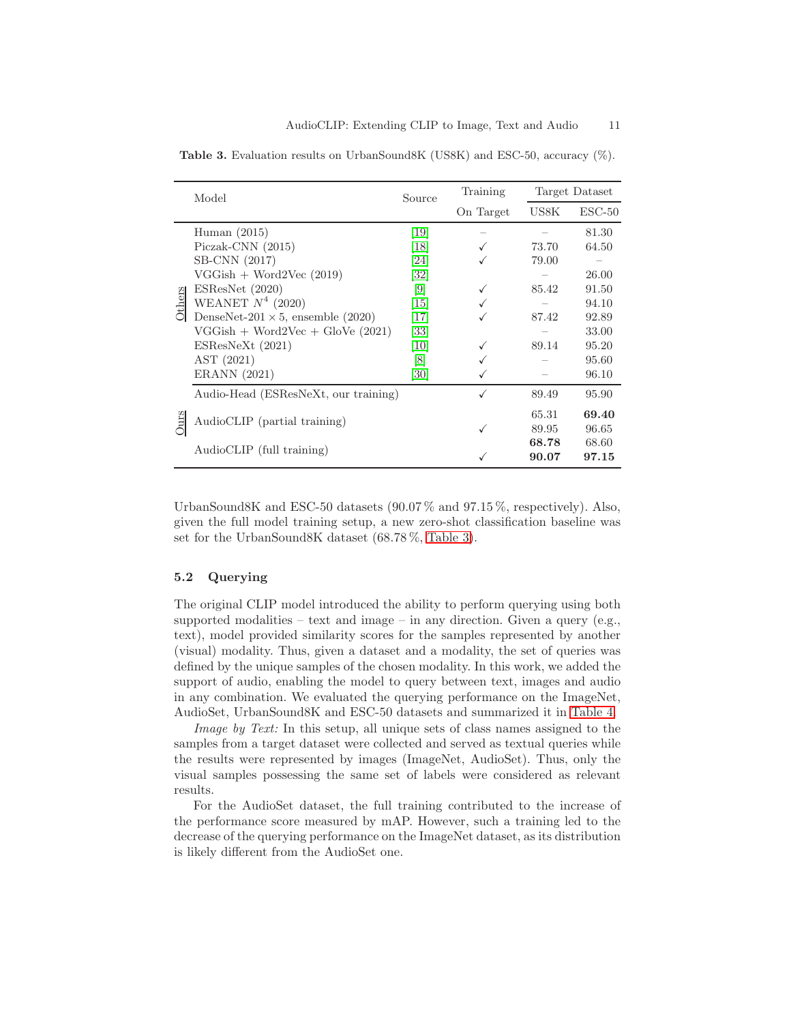|                                                               | Model                                    |                                                                                                                     | Training  | Target Dataset                                                                        |          |  |
|---------------------------------------------------------------|------------------------------------------|---------------------------------------------------------------------------------------------------------------------|-----------|---------------------------------------------------------------------------------------|----------|--|
|                                                               |                                          |                                                                                                                     | On Target | US8K<br>73.70<br>79.00<br>85.42<br>87.42<br>89.14<br>89.49<br>65.31<br>89.95<br>68.78 | $ESC-50$ |  |
|                                                               | Human $(2015)$                           | <b>19</b>                                                                                                           |           |                                                                                       | 81.30    |  |
|                                                               | $Piczak-CNN (2015)$                      | Source<br><b>18</b><br>[24]<br> 32 <br>$[9]$<br><sup>15</sup><br><sup>17</sup><br>33<br> 10 <br> 8 <br>30]<br>90.07 | 64.50     |                                                                                       |          |  |
| SB-CNN (2017)<br>$VGGish + Word2Vec (2019)$<br>ESResNet(2020) |                                          |                                                                                                                     |           |                                                                                       |          |  |
|                                                               |                                          |                                                                                                                     | 26.00     |                                                                                       |          |  |
|                                                               |                                          |                                                                                                                     | 91.50     |                                                                                       |          |  |
| Others                                                        | WEANET $N^4$ (2020)                      |                                                                                                                     |           |                                                                                       | 94.10    |  |
|                                                               | DenseNet-201 $\times$ 5, ensemble (2020) |                                                                                                                     |           |                                                                                       | 92.89    |  |
|                                                               | $VGGish + Word2Vec + GloVe (2021)$       |                                                                                                                     |           |                                                                                       | 33.00    |  |
|                                                               | ESResNext (2021)                         |                                                                                                                     |           |                                                                                       | 95.20    |  |
|                                                               | AST (2021)                               |                                                                                                                     |           |                                                                                       | 95.60    |  |
|                                                               | ERANN (2021)                             |                                                                                                                     |           |                                                                                       | 96.10    |  |
|                                                               | Audio-Head (ESResNeXt, our training)     |                                                                                                                     |           |                                                                                       | 95.90    |  |
|                                                               | AudioCLIP (partial training)             |                                                                                                                     |           |                                                                                       | 69.40    |  |
| Öur                                                           |                                          |                                                                                                                     |           |                                                                                       | 96.65    |  |
|                                                               | AudioCLIP (full training)                |                                                                                                                     |           |                                                                                       | 68.60    |  |
|                                                               |                                          |                                                                                                                     |           |                                                                                       | 97.15    |  |

<span id="page-10-1"></span>Table 3. Evaluation results on UrbanSound8K (US8K) and ESC-50, accuracy (%).

UrbanSound8K and ESC-50 datasets (90.07% and 97.15%, respectively). Also, given the full model training setup, a new zero-shot classification baseline was set for the UrbanSound8K dataset (68.78 %, [Table 3\)](#page-10-1).

# <span id="page-10-0"></span>5.2 Querying

The original CLIP model introduced the ability to perform querying using both supported modalities – text and image – in any direction. Given a query (e.g., text), model provided similarity scores for the samples represented by another (visual) modality. Thus, given a dataset and a modality, the set of queries was defined by the unique samples of the chosen modality. In this work, we added the support of audio, enabling the model to query between text, images and audio in any combination. We evaluated the querying performance on the ImageNet, AudioSet, UrbanSound8K and ESC-50 datasets and summarized it in [Table 4.](#page-11-1)

Image by Text: In this setup, all unique sets of class names assigned to the samples from a target dataset were collected and served as textual queries while the results were represented by images (ImageNet, AudioSet). Thus, only the visual samples possessing the same set of labels were considered as relevant results.

For the AudioSet dataset, the full training contributed to the increase of the performance score measured by mAP. However, such a training led to the decrease of the querying performance on the ImageNet dataset, as its distribution is likely different from the AudioSet one.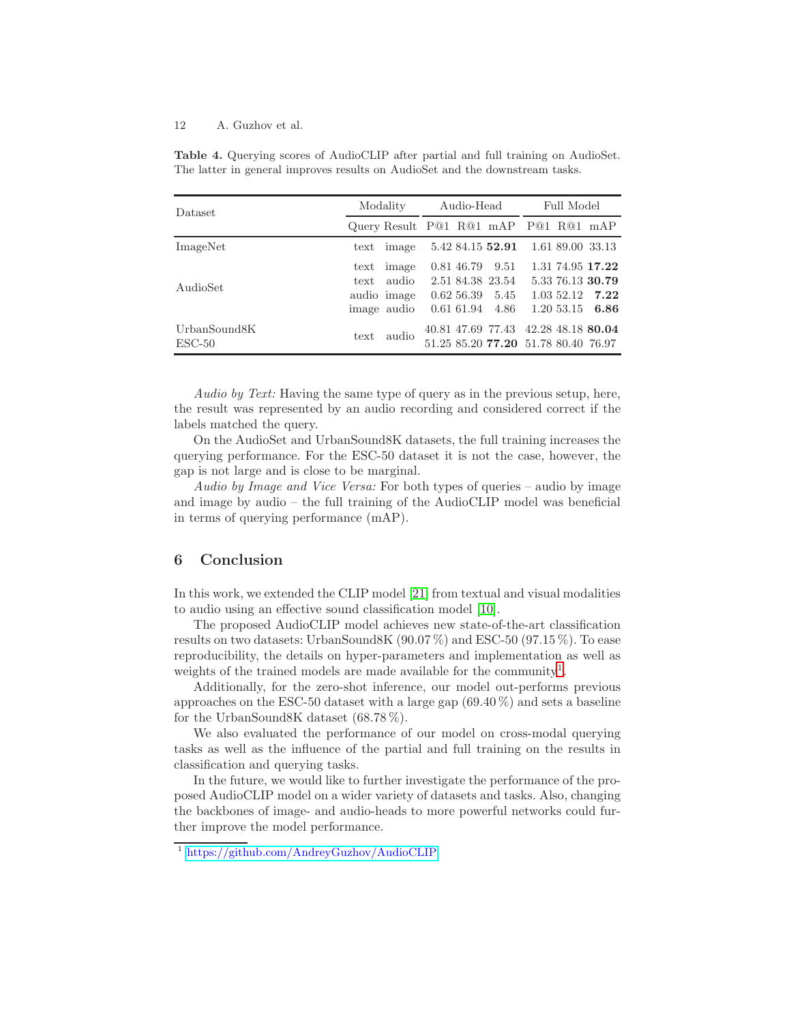| Dataset         | Modality     |                                      | Audio-Head |  |                                     | Full Model |            |                    |
|-----------------|--------------|--------------------------------------|------------|--|-------------------------------------|------------|------------|--------------------|
|                 |              | Query Result P@1 R@1 mAP P@1 R@1 mAP |            |  |                                     |            |            |                    |
| ImageNet        | $text{text}$ | image                                |            |  | 5.42 84.15 52.91 1.61 89.00 33.13   |            |            |                    |
|                 | $text{text}$ | image                                |            |  | 0.81 46.79 9.51                     |            |            | 1.31 74.95 17.22   |
| AudioSet        | text         | audio                                |            |  | 2.51 84.38 23.54                    |            |            | 5.33 76.13 30.79   |
|                 |              | audio image                          |            |  | $0.62\,56.39\quad5.45$              |            |            | $1.03\ 52.12$ 7.22 |
|                 |              | image audio                          |            |  | $0.61\ 61.94\quad 4.86$             |            | 1.20 53.15 | 6.86               |
| UrbanSound8K    | text         | audio                                |            |  | 40.81 47.69 77.43 42.28 48.18 80.04 |            |            |                    |
| $\text{ESC-50}$ |              |                                      |            |  | 51.25 85.20 77.20 51.78 80.40 76.97 |            |            |                    |

<span id="page-11-1"></span>Table 4. Querying scores of AudioCLIP after partial and full training on AudioSet. The latter in general improves results on AudioSet and the downstream tasks.

Audio by Text: Having the same type of query as in the previous setup, here, the result was represented by an audio recording and considered correct if the labels matched the query.

On the AudioSet and UrbanSound8K datasets, the full training increases the querying performance. For the ESC-50 dataset it is not the case, however, the gap is not large and is close to be marginal.

Audio by Image and Vice Versa: For both types of queries – audio by image and image by audio – the full training of the AudioCLIP model was beneficial in terms of querying performance (mAP).

# <span id="page-11-0"></span>6 Conclusion

In this work, we extended the CLIP model [\[21\]](#page-13-6) from textual and visual modalities to audio using an effective sound classification model [\[10\]](#page-12-2).

The proposed AudioCLIP model achieves new state-of-the-art classification results on two datasets: UrbanSound8K (90.07 %) and ESC-50 (97.15 %). To ease reproducibility, the details on hyper-parameters and implementation as well as weights of the trained models are made available for the community<sup>[1](#page-11-2)</sup>.

Additionally, for the zero-shot inference, our model out-performs previous approaches on the ESC-50 dataset with a large gap  $(69.40\%)$  and sets a baseline for the UrbanSound8K dataset (68.78 %).

We also evaluated the performance of our model on cross-modal querying tasks as well as the influence of the partial and full training on the results in classification and querying tasks.

In the future, we would like to further investigate the performance of the proposed AudioCLIP model on a wider variety of datasets and tasks. Also, changing the backbones of image- and audio-heads to more powerful networks could further improve the model performance.

<span id="page-11-2"></span><sup>1</sup> <https://github.com/AndreyGuzhov/AudioCLIP>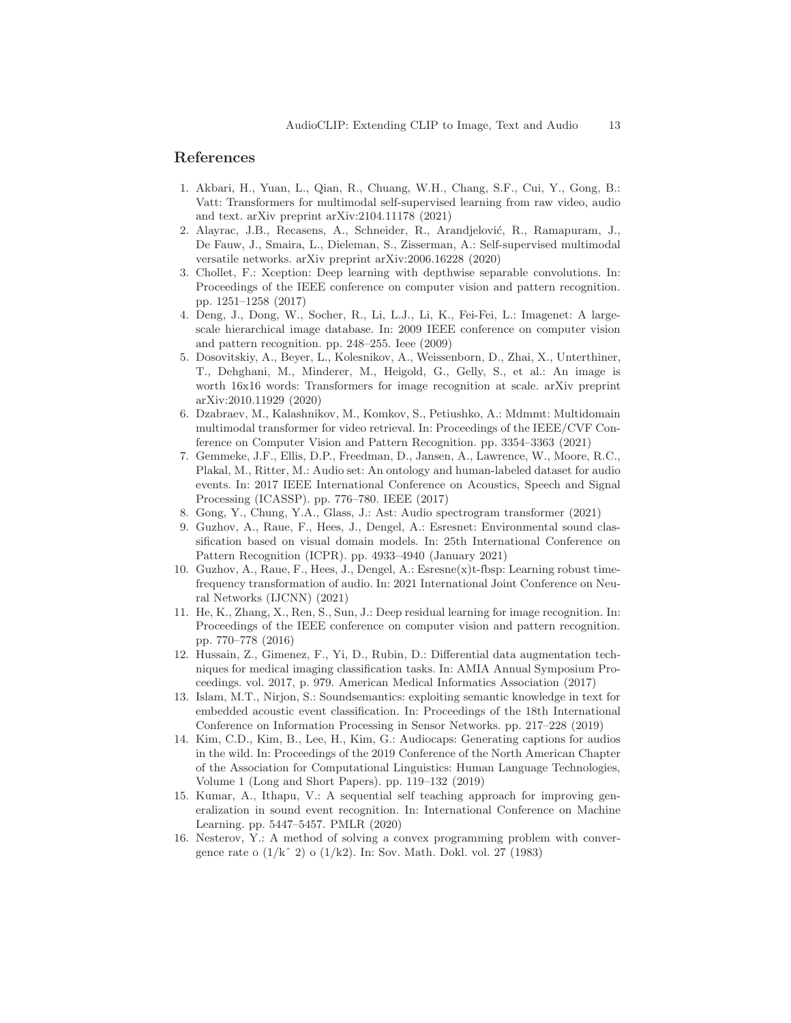## <span id="page-12-9"></span>References

- 1. Akbari, H., Yuan, L., Qian, R., Chuang, W.H., Chang, S.F., Cui, Y., Gong, B.: Vatt: Transformers for multimodal self-supervised learning from raw video, audio and text. arXiv preprint arXiv:2104.11178 (2021)
- <span id="page-12-4"></span>2. Alayrac, J.B., Recasens, A., Schneider, R., Arandjelović, R., Ramapuram, J., De Fauw, J., Smaira, L., Dieleman, S., Zisserman, A.: Self-supervised multimodal versatile networks. arXiv preprint arXiv:2006.16228 (2020)
- <span id="page-12-12"></span>3. Chollet, F.: Xception: Deep learning with depthwise separable convolutions. In: Proceedings of the IEEE conference on computer vision and pattern recognition. pp. 1251–1258 (2017)
- <span id="page-12-13"></span>4. Deng, J., Dong, W., Socher, R., Li, L.J., Li, K., Fei-Fei, L.: Imagenet: A largescale hierarchical image database. In: 2009 IEEE conference on computer vision and pattern recognition. pp. 248–255. Ieee (2009)
- <span id="page-12-10"></span>5. Dosovitskiy, A., Beyer, L., Kolesnikov, A., Weissenborn, D., Zhai, X., Unterthiner, T., Dehghani, M., Minderer, M., Heigold, G., Gelly, S., et al.: An image is worth  $16x16$  words: Transformers for image recognition at scale. arXiv preprint arXiv:2010.11929 (2020)
- <span id="page-12-8"></span>6. Dzabraev, M., Kalashnikov, M., Komkov, S., Petiushko, A.: Mdmmt: Multidomain multimodal transformer for video retrieval. In: Proceedings of the IEEE/CVF Conference on Computer Vision and Pattern Recognition. pp. 3354–3363 (2021)
- <span id="page-12-0"></span>7. Gemmeke, J.F., Ellis, D.P., Freedman, D., Jansen, A., Lawrence, W., Moore, R.C., Plakal, M., Ritter, M.: Audio set: An ontology and human-labeled dataset for audio events. In: 2017 IEEE International Conference on Acoustics, Speech and Signal Processing (ICASSP). pp. 776–780. IEEE (2017)
- <span id="page-12-7"></span><span id="page-12-6"></span>8. Gong, Y., Chung, Y.A., Glass, J.: Ast: Audio spectrogram transformer (2021)
- 9. Guzhov, A., Raue, F., Hees, J., Dengel, A.: Esresnet: Environmental sound classification based on visual domain models. In: 25th International Conference on Pattern Recognition (ICPR). pp. 4933–4940 (January 2021)
- <span id="page-12-2"></span>10. Guzhov, A., Raue, F., Hees, J., Dengel, A.: Esresne(x)t-fbsp: Learning robust timefrequency transformation of audio. In: 2021 International Joint Conference on Neural Networks (IJCNN) (2021)
- <span id="page-12-11"></span>11. He, K., Zhang, X., Ren, S., Sun, J.: Deep residual learning for image recognition. In: Proceedings of the IEEE conference on computer vision and pattern recognition. pp. 770–778 (2016)
- <span id="page-12-14"></span>12. Hussain, Z., Gimenez, F., Yi, D., Rubin, D.: Differential data augmentation techniques for medical imaging classification tasks. In: AMIA Annual Symposium Proceedings. vol. 2017, p. 979. American Medical Informatics Association (2017)
- <span id="page-12-5"></span>13. Islam, M.T., Nirjon, S.: Soundsemantics: exploiting semantic knowledge in text for embedded acoustic event classification. In: Proceedings of the 18th International Conference on Information Processing in Sensor Networks. pp. 217–228 (2019)
- <span id="page-12-3"></span>14. Kim, C.D., Kim, B., Lee, H., Kim, G.: Audiocaps: Generating captions for audios in the wild. In: Proceedings of the 2019 Conference of the North American Chapter of the Association for Computational Linguistics: Human Language Technologies, Volume 1 (Long and Short Papers). pp. 119–132 (2019)
- <span id="page-12-1"></span>15. Kumar, A., Ithapu, V.: A sequential self teaching approach for improving generalization in sound event recognition. In: International Conference on Machine Learning. pp. 5447–5457. PMLR (2020)
- <span id="page-12-15"></span>16. Nesterov, Y.: A method of solving a convex programming problem with convergence rate o (1/kˆ 2) o (1/k2). In: Sov. Math. Dokl. vol. 27 (1983)